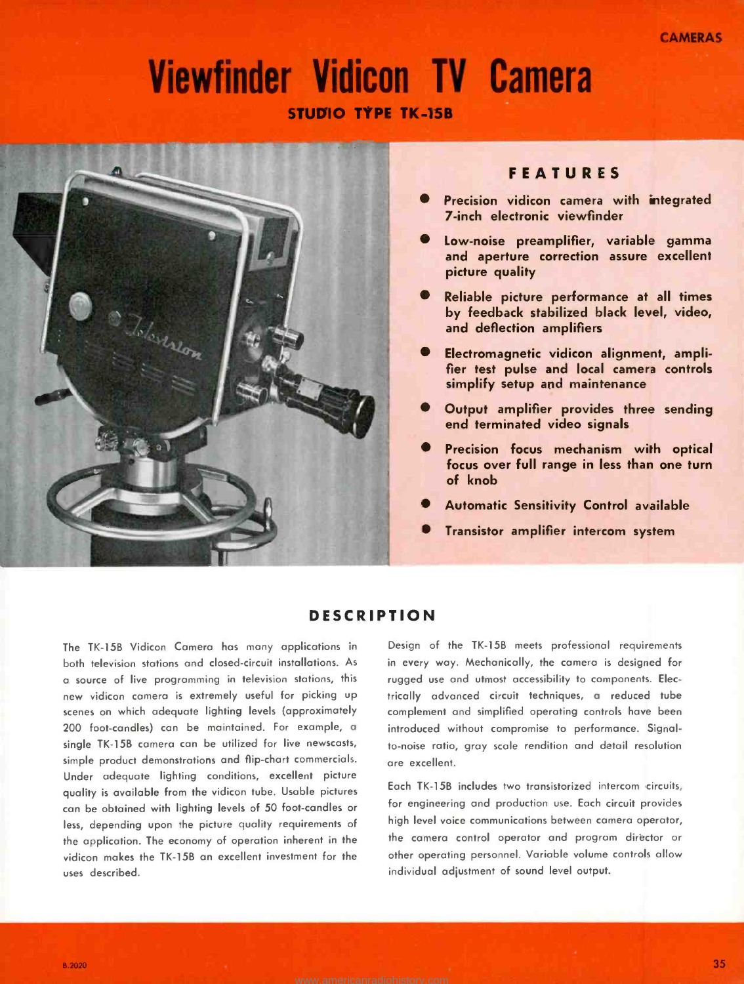# Viewfinder Vidicon TV Camera STUDIO TYPE TK -15B



# FEATURES

- Precision vidicon camera with integrated 7 -inch electronic viewfinder
- Low -noise preamplifier, variable gamma and aperture correction assure excellent picture quality
- Reliable picture performance at all times by feedback stabilized black level, video, and deflection amplifiers
- Electromagnetic vidicon alignment, amplifier test pulse and local camera controls simplify setup and maintenance
- Output amplifier provides three sending end terminated video signals
- Precision focus mechanism with optical focus over full range in less than one turn of knob
- Automatic Sensitivity Control available
- Transistor amplifier intercom system

# **DESCRIPTION**

The TK -15B Vidicon Camera has many applications in both television stations and closed-circuit installations. As <sup>a</sup>source of live programming in television stations, this new vidicon camera is extremely useful for picking up scenes on which adequate lighting levels (approximately 200 foot-candles) can be maintained. For example, a single TK -15B camera can be utilized for live newscasts, simple product demonstrations and flip -chart commercials. Under adequate lighting conditions, excellent picture quality is available from the vidicon tube. Usable pictures can be obtained with lighting levels of 50 foot -candles or less, depending upon the picture quality requirements of the application. The economy of operation inherent in the vidicon makes the TK-15B an excellent investment for the uses described.

Design of the TK-15B meets professional requirements in every way. Mechanically, the camera is designed for rugged use and utmost accessibility to components. Electrically advanced circuit techniques, a reduced tube complement and simplified operating controls have been introduced without compromise to performance. Signalto -noise ratio, gray scale rendition and detail resolution are excellent.

Each TK -15B includes two transistorized intercom circuits, for engineering and production use. Each circuit provides high level voice communications between camera operator, the camera control operator and program director or other operating personnel. Variable volume controls allow individual adjustment of sound level output.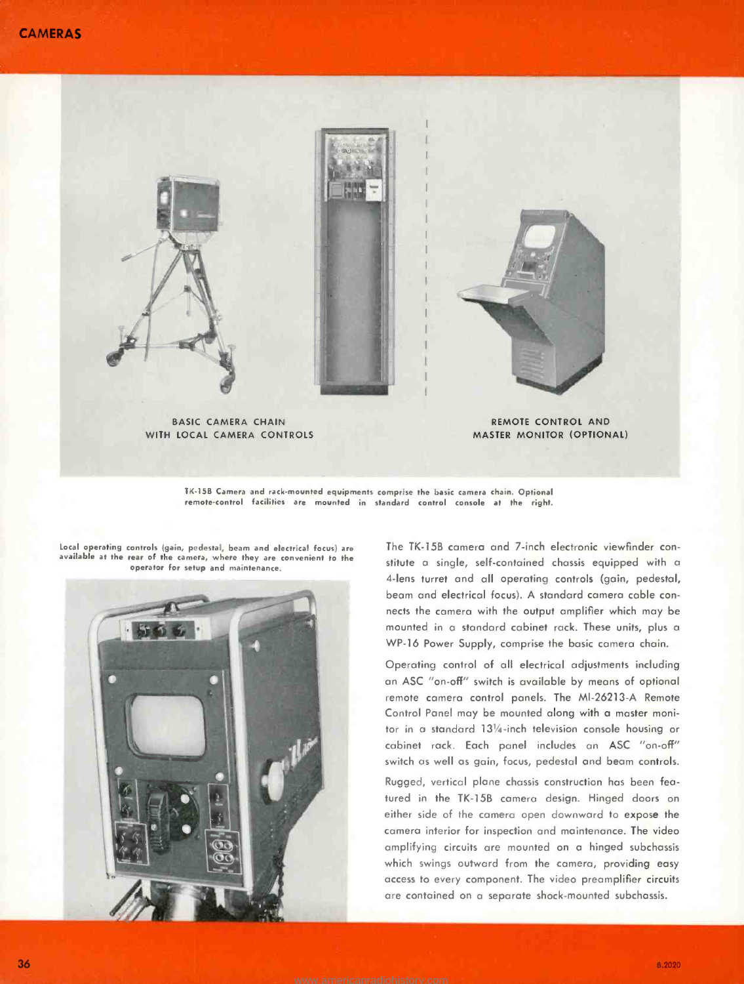

TK -15B Camera and rack -mounted equipments compr:se the basic camera chain. Optional remote -control facilities are mounted in standard control console at the right.

Local operating controls (gain, pedestal, beam and electrical focus) are available at the rear of the camera, where they are convenient to the operator for setup and maintenance.



The TK-15B camera and 7-inch electronic viewfinder constitute a single, self- contained chassis equipped with a 4 -lens turret and all operating controls (gain, pedestal, beam and electrical focus). A standard camera cable con nects the camera with the output amplifier which may be mounted in a standard cabinet rack. These units, plus a WP-16 Power Supply, comprise the basic camera chain.

Operating control of all electrical adjustments including an ASC "on -off" switch is available by means of optional remote camera control panels. The MI-26213-A Remote Control Panel may be mounted along with a master monitor in a standard 131/4 -inch television console housing or cabinet rack. Each panel includes an ASC "on-off" switch as well as gain, focus, pedestal and beam controls.

Rugged, vertical plane chassis construction has been featured in the TK -15B camera design. Hinged doors on either side of the camera open downward to expose the camera interior for inspection and maintenance. The video amplifying circuits are mounted on a hinged subchassis which swings outward from the camera, providing easy access to every component. The video preamplifier circuits are contained on a separate shock -mounted subchassis.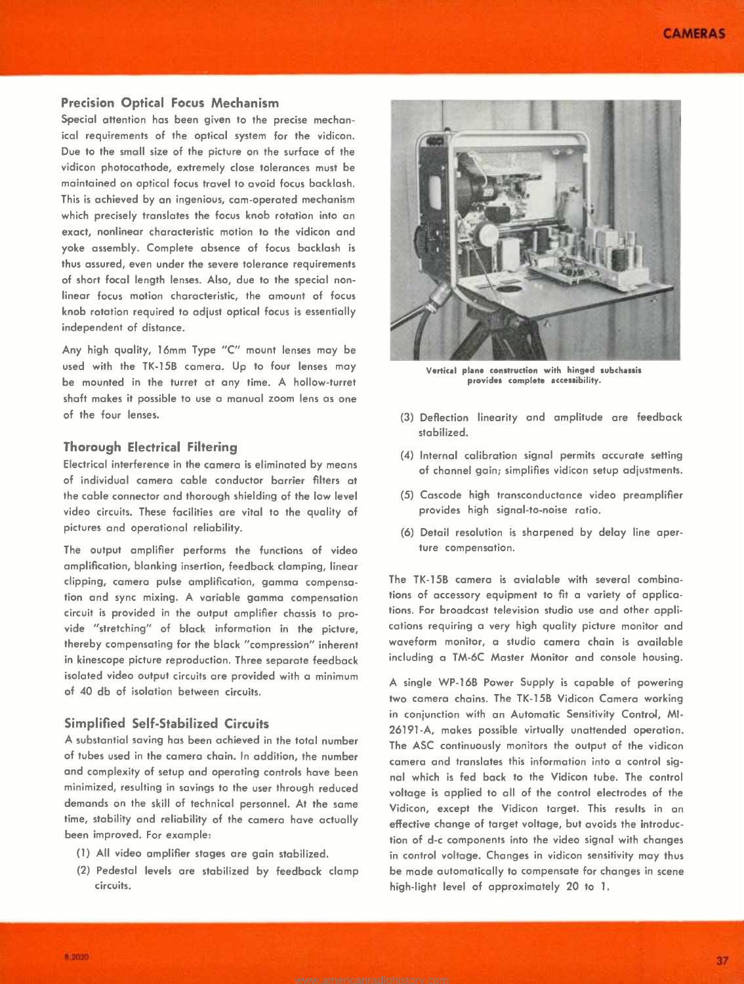#### Precision Optical Focus Mechanism

Special attention has been given to the precise mechanical requirements of the optical system for the vidicon. Due to the small size of the picture on the surface of the vidicon photocathode, extremely close tolerances must be maintained on optical focus travel to avoid focus backlash. This is achieved by an ingenious, cam -operated mechanism which precisely translates the focus knob rotation into an exact, nonlinear characteristic motion to the vidicon and yoke assembly. Complete absence of focus backlash is thus assured, even under the severe tolerance requirements of short focal length lenses. Also, due to the special nonlinear focus motion characteristic, the amount of focus knob rotation required to adjust optical focus is essentially independent of distance.

Any high quality, 16mm Type "C" mount lenses may be used with the TK-15B camera. Up to four lenses may be mounted in the turret at any time. A hollow-turret shaft makes it possible to use a manual zoom lens as one of the four lenses.

### Thorough Electrical Filtering

Electrical interference in the camera is eliminated by means of individual camera cable conductor barrier filters at the cable connector and thorough shielding of the low level video circuits. These facilities are vital to the quality of pictures and operational reliability.

The output amplifier performs the functions of video amplification, blanking insertion, feedback clamping, linear clipping, camera pulse amplification, gamma compensation and sync mixing. A variable gamma compensation circuit is provided in the output amplifier chassis to provide "stretching" of black information in the picture, thereby compensating for the black "compression" inherent in kinescope picture reproduction. Three separate feedback isolated video output circuits are provided with a minimum of 40 db of isolation between circuits.

#### Simplified Self- Stabilized Circuits

A substantial saving has been achieved in the total number of tubes used in the camera chain. In addition, the number and complexity of setup and operating controls have been minimized, resulting in savings to the user through reduced demands on the skill of technical personnel. At the same time, stability and reliability of the camera have actually been improved. For example:

- (1) All video amplifier stages are gain stabilized.
- (2) Pedestal levels are stabilized by feedback clamp circuits.



Vertical plane construction with hinged subchassis provides complete accessibility.

- (3) Deflection linearity and amplitude are feedback stabilized.
- (4) Internal calibration signal permits accurate setting of channel gain; simplifies vidicon setup adjustments.
- (5) Cascode high transconductance video preamplifier provides high signal-to-noise ratio.
- (6) Detail resolution is sharpened by delay line aperture compensation.

The TK-15B camera is avialable with several combinations of accessory equipment to fit a variety of applications. For broadcast television studio use and other applications requiring a very high quality picture monitor and waveform monitor, a studio camera chain is available including a TM -6C Master Monitor and console housing.

A single WP -16B Power Supply is capable of powering two camera chains. The TK-15B Vidicon Camera working in conjunction with an Automatic Sensitivity Control, MI-26191-A, makes possible virtually unattended operation. The ASC continuously monitors the output of the vidicon camera and translates this information into a control signal which is fed back to the Vidicon tube. The control voltage is applied to all of the control electrodes of the Vidicon, except the Vidicon target. This results in an effective change of target voltage, but avoids the introduction of d-c components into the video signal with changes in control voltage. Changes in vidicon sensitivity may thus be made automatically to compensate for changes in scene high-light level of approximately 20 to 1.